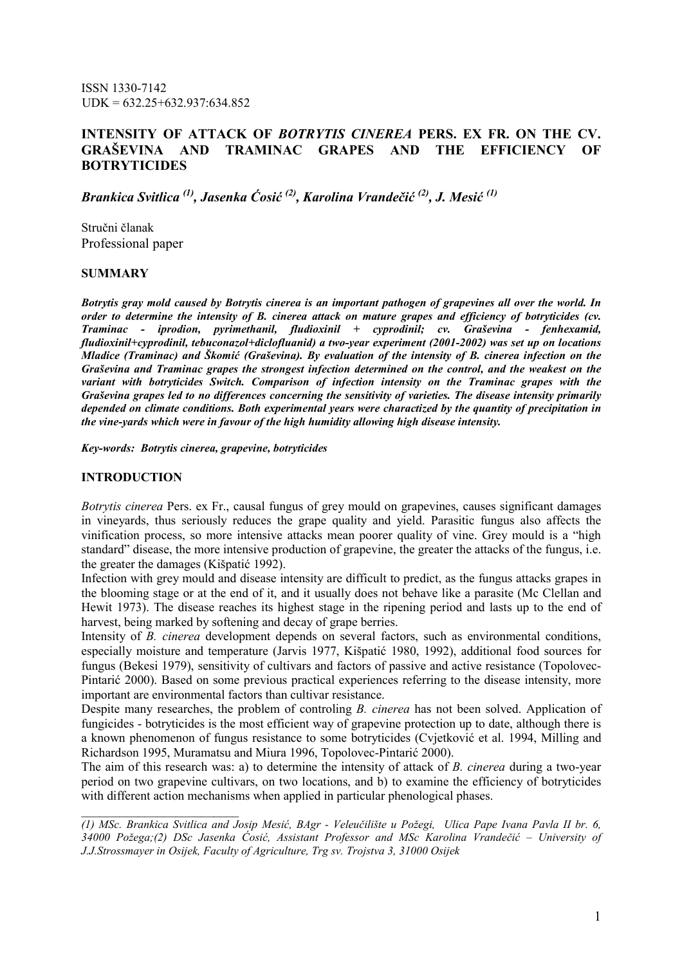ISSN 1330-7142  $UDK = 632.25 + 632.937:634.852$ 

# INTENSITY OF ATTACK OF BOTRYTIS CINEREA PERS. EX FR. ON THE CV. GRAŠEVINA AND TRAMINAC GRAPES AND THE EFFICIENCY OF **BOTRYTICIDES**

Brankica Svitlica<sup>(1)</sup>, Jasenka Ćosić<sup>(2)</sup>, Karolina Vrandečić<sup>(2)</sup>, J. Mesić<sup>(1)</sup>

Stručni članak Professional paper

#### **SUMMARY**

Botrytis gray mold caused by Botrytis cinerea is an important pathogen of grapevines all over the world. In order to determine the intensity of B. cinerea attack on mature grapes and efficiency of botryticides (cv. Traminac - iprodion, pyrimethanil, fludioxinil + cyprodinil; cv. Graševina - fenhexamid, fludioxinil+cyprodinil, tebuconazol+diclofluanid) a two-year experiment (2001-2002) was set up on locations Mladice (Traminac) and Škomić (Graševina). By evaluation of the intensity of B. cinerea infection on the Graševina and Traminac grapes the strongest infection determined on the control, and the weakest on the variant with botryticides Switch. Comparison of infection intensity on the Traminac grapes with the Graševina grapes led to no differences concerning the sensitivity of varieties. The disease intensity primarily depended on climate conditions. Both experimental years were charactized by the quantity of precipitation in the vine-yards which were in favour of the high humidity allowing high disease intensity.

Key-words: Botrytis cinerea, grapevine, botryticides

#### INTRODUCTION

\_\_\_\_\_\_\_\_\_\_\_\_\_\_\_\_\_\_\_\_\_\_\_\_\_

Botrytis cinerea Pers. ex Fr., causal fungus of grey mould on grapevines, causes significant damages in vineyards, thus seriously reduces the grape quality and yield. Parasitic fungus also affects the vinification process, so more intensive attacks mean poorer quality of vine. Grey mould is a "high standard" disease, the more intensive production of grapevine, the greater the attacks of the fungus, i.e. the greater the damages (Kišpatić 1992).

Infection with grey mould and disease intensity are difficult to predict, as the fungus attacks grapes in the blooming stage or at the end of it, and it usually does not behave like a parasite (Mc Clellan and Hewit 1973). The disease reaches its highest stage in the ripening period and lasts up to the end of harvest, being marked by softening and decay of grape berries.

Intensity of B. cinerea development depends on several factors, such as environmental conditions, especially moisture and temperature (Jarvis 1977, Kišpatić 1980, 1992), additional food sources for fungus (Bekesi 1979), sensitivity of cultivars and factors of passive and active resistance (Topolovec-Pintarić 2000). Based on some previous practical experiences referring to the disease intensity, more important are environmental factors than cultivar resistance.

Despite many researches, the problem of controling B. cinerea has not been solved. Application of fungicides - botryticides is the most efficient way of grapevine protection up to date, although there is a known phenomenon of fungus resistance to some botryticides (Cvjetković et al. 1994, Milling and Richardson 1995, Muramatsu and Miura 1996, Topolovec-Pintarić 2000).

The aim of this research was: a) to determine the intensity of attack of B. cinerea during a two-year period on two grapevine cultivars, on two locations, and b) to examine the efficiency of botryticides with different action mechanisms when applied in particular phenological phases.

(1) MSc. Brankica Svitlica and Josip Mesić, BAgr - Veleučilište u Požegi, Ulica Pape Ivana Pavla II br. 6, 34000 Požega;(2) DSc Jasenka Ćosić, Assistant Professor and MSc Karolina Vrandečić – University of J.J.Strossmayer in Osijek, Faculty of Agriculture, Trg sv. Trojstva 3, 31000 Osijek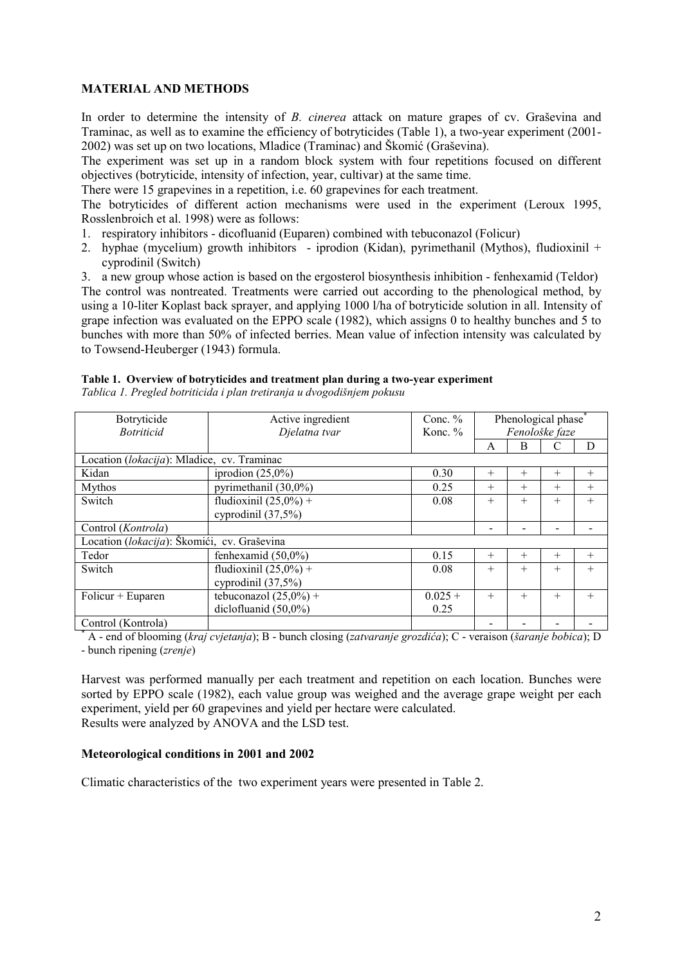### MATERIAL AND METHODS

In order to determine the intensity of B. cinerea attack on mature grapes of cv. Graševina and Traminac, as well as to examine the efficiency of botryticides (Table 1), a two-year experiment (2001- 2002) was set up on two locations, Mladice (Traminac) and Škomić (Graševina).

The experiment was set up in a random block system with four repetitions focused on different objectives (botryticide, intensity of infection, year, cultivar) at the same time.

There were 15 grapevines in a repetition, i.e. 60 grapevines for each treatment.

The botryticides of different action mechanisms were used in the experiment (Leroux 1995, Rosslenbroich et al. 1998) were as follows:

1. respiratory inhibitors - dicofluanid (Euparen) combined with tebuconazol (Folicur)

2. hyphae (mycelium) growth inhibitors - iprodion (Kidan), pyrimethanil (Mythos), fludioxinil + cyprodinil (Switch)

3. a new group whose action is based on the ergosterol biosynthesis inhibition - fenhexamid (Teldor) The control was nontreated. Treatments were carried out according to the phenological method, by using a 10-liter Koplast back sprayer, and applying 1000 l/ha of botryticide solution in all. Intensity of grape infection was evaluated on the EPPO scale (1982), which assigns 0 to healthy bunches and 5 to bunches with more than 50% of infected berries. Mean value of infection intensity was calculated by to Towsend-Heuberger (1943) formula.

#### Table 1. Overview of botryticides and treatment plan during a two-year experiment

Tablica 1. Pregled botriticida i plan tretiranja u dvogodišnjem pokusu

| Botryticide                                 | Conc. $%$<br>Active ingredient |                       |                |        | Phenological phase |        |
|---------------------------------------------|--------------------------------|-----------------------|----------------|--------|--------------------|--------|
| <b>Botriticid</b>                           | Djelatna tvar                  | Konc. $%$             | Fenološke faze |        |                    |        |
|                                             |                                |                       | A              | B      |                    | D      |
| Location (lokacija): Mladice, cv. Traminac  |                                |                       |                |        |                    |        |
| Kidan                                       | iprodion $(25,0\%)$            | 0.30<br>$+$<br>$^{+}$ |                |        | $^{+}$             | $^{+}$ |
| Mythos                                      | pyrimethanil (30,0%)           | 0.25                  | $^{+}$         | $^{+}$ | $^{+}$             | $^{+}$ |
| Switch                                      | fludioxinil $(25,0\%)$ +       | 0.08                  |                | $^{+}$ | $^{+}$             | $^{+}$ |
|                                             | cyprodinil $(37,5%)$           |                       |                |        |                    |        |
| Control ( <i>Kontrola</i> )                 |                                |                       |                |        |                    |        |
| Location (lokacija): Škomići, cv. Graševina |                                |                       |                |        |                    |        |
| Tedor                                       | fenhexamid $(50,0\%)$          | 0.15                  | $+$            | $^{+}$ | $^{+}$             | $^{+}$ |
| Switch                                      | fludioxinil $(25,0\%)$ +       | 0.08                  |                | $^{+}$ | $^{+}$             | $^{+}$ |
|                                             | cyprodinil $(37,5%)$           |                       |                |        |                    |        |
| $Folicur + Euparen$                         | tebuconazol $(25,0\%) +$       | $0.025 +$             |                | $^{+}$ | $^{+}$             | $^{+}$ |
|                                             | diclofluanid $(50,0\%)$        | 0.25                  |                |        |                    |        |
| Control (Kontrola)                          |                                |                       |                |        |                    |        |

Control (Kontrola) - - - - \* A - end of blooming (kraj cvjetanja); B - bunch closing (zatvaranje grozdića); C - veraison (šaranje bobica); D - bunch ripening (zrenje)

Harvest was performed manually per each treatment and repetition on each location. Bunches were sorted by EPPO scale (1982), each value group was weighed and the average grape weight per each experiment, yield per 60 grapevines and yield per hectare were calculated. Results were analyzed by ANOVA and the LSD test.

### Meteorological conditions in 2001 and 2002

Climatic characteristics of the two experiment years were presented in Table 2.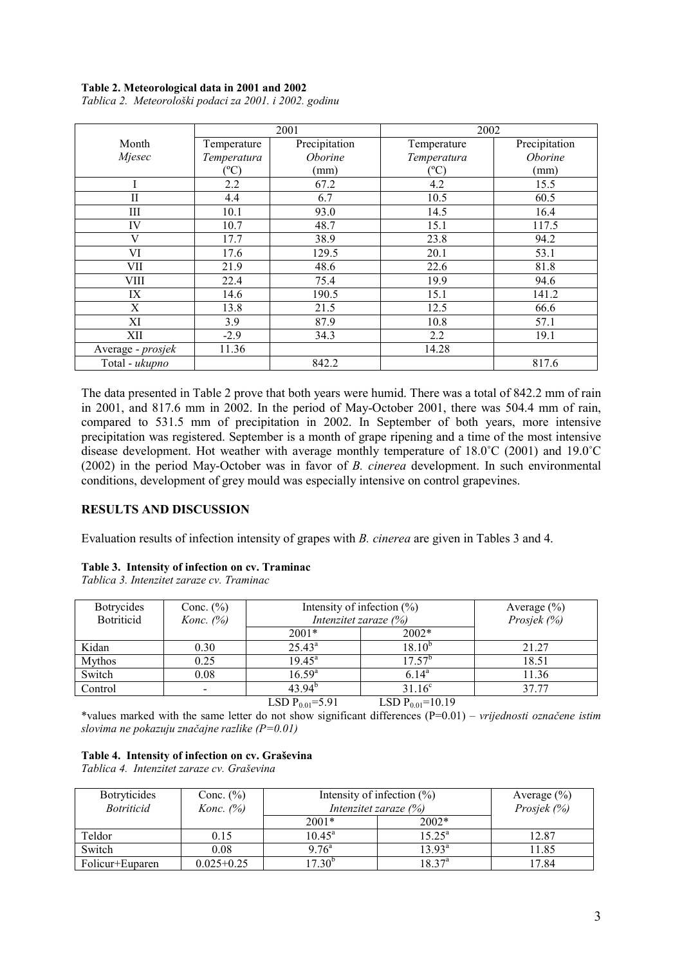#### Table 2. Meteorological data in 2001 and 2002

|                   | 2001        |               | 2002          |               |  |
|-------------------|-------------|---------------|---------------|---------------|--|
| Month             | Temperature | Precipitation | Temperature   | Precipitation |  |
| Mjesec            | Temperatura | Oborine       | Temperatura   | Oborine       |  |
|                   | (°C)        | (mm)          | $\rm ^{(o}C)$ | (mm)          |  |
|                   | 2.2         | 67.2          | 4.2           | 15.5          |  |
| П                 | 4.4         | 6.7           | 10.5          | 60.5          |  |
| Ш                 | 10.1        | 93.0          | 14.5          | 16.4          |  |
| IV                | 10.7        | 48.7          | 15.1          | 117.5         |  |
| V                 | 17.7        | 38.9          | 23.8          | 94.2          |  |
| VI                | 17.6        | 129.5         | 20.1          | 53.1          |  |
| VII               | 21.9        | 48.6          | 22.6          | 81.8          |  |
| VIII              | 22.4        | 75.4          | 19.9          | 94.6          |  |
| IX                | 14.6        | 190.5         | 15.1          | 141.2         |  |
| Χ                 | 13.8        | 21.5          | 12.5          | 66.6          |  |
| XI                | 3.9         | 87.9          | 10.8          | 57.1          |  |
| XII               | $-2.9$      | 34.3          | 2.2           | 19.1          |  |
| Average - prosjek | 11.36       |               | 14.28         |               |  |
| Total - ukupno    |             | 842.2         |               | 817.6         |  |

Tablica 2. Meteorološki podaci za 2001. i 2002. godinu

The data presented in Table 2 prove that both years were humid. There was a total of 842.2 mm of rain in 2001, and 817.6 mm in 2002. In the period of May-October 2001, there was 504.4 mm of rain, compared to 531.5 mm of precipitation in 2002. In September of both years, more intensive precipitation was registered. September is a month of grape ripening and a time of the most intensive disease development. Hot weather with average monthly temperature of 18.0˚C (2001) and 19.0˚C (2002) in the period May-October was in favor of B. cinerea development. In such environmental conditions, development of grey mould was especially intensive on control grapevines.

### RESULTS AND DISCUSSION

Evaluation results of infection intensity of grapes with B. cinerea are given in Tables 3 and 4.

### Table 3. Intensity of infection on cv. Traminac

Tablica 3. Intenzitet zaraze cv. Traminac

| <b>Botrycides</b><br><b>Botriticid</b> | Conc. $(\% )$<br>Konc. $(\%)$ | Intensity of infection $(\%)$<br>Intenzitet zaraze $(\%)$ |                     | Average $(\% )$<br>Prosjek (%) |
|----------------------------------------|-------------------------------|-----------------------------------------------------------|---------------------|--------------------------------|
|                                        |                               | $2001*$                                                   | $2002*$             |                                |
| Kidan                                  | 0.30                          | $25.43^a$                                                 | 18.10°              | 21.27                          |
| <b>Mythos</b>                          | 0.25                          | $19.45^{\circ}$                                           | $17.57^b$           | 18.51                          |
| Switch                                 | 0.08                          | $16.59^{a}$                                               | $6.14^{\circ}$      | 11.36                          |
| Control                                | $\blacksquare$                | 43.94 <sup>b</sup>                                        | $31.16^c$           | 37.77                          |
|                                        |                               | I CD D<br>$-\epsilon$ 0.1                                 | $-10, 10$<br>I CD D |                                |

LSD  $P_{0.01}$ =5.91 LSD  $P_{0.01}$ =10.19

\*values marked with the same letter do not show significant differences (P=0.01) – *vrijednosti označene istim* slovima ne pokazuju značajne razlike  $(P=0.01)$ 

### Table 4. Intensity of infection on cv. Graševina

Tablica 4. Intenzitet zaraze cv. Graševina

| <b>Botryticides</b><br><i>Botriticid</i> | Conc. $(\%)$<br>Konc. $(%)$ | Intensity of infection $(\% )$<br>Intenzitet zaraze $(\%)$ |                 | Average $(\% )$<br>Prosjek (%) |
|------------------------------------------|-----------------------------|------------------------------------------------------------|-----------------|--------------------------------|
|                                          |                             | $2001*$                                                    | $2002*$         |                                |
| Teldor                                   | 0.15                        | $10.45^{\circ}$                                            | $15.25^{\circ}$ | 12.87                          |
| Switch                                   | 0.08                        | $9.76^{\circ}$                                             | $13.93^{\rm a}$ | 11.85                          |
| Folicur+Euparen                          | $0.025 + 0.25$              | $17.30^{b}$                                                | $18.37^{\rm a}$ | 17.84                          |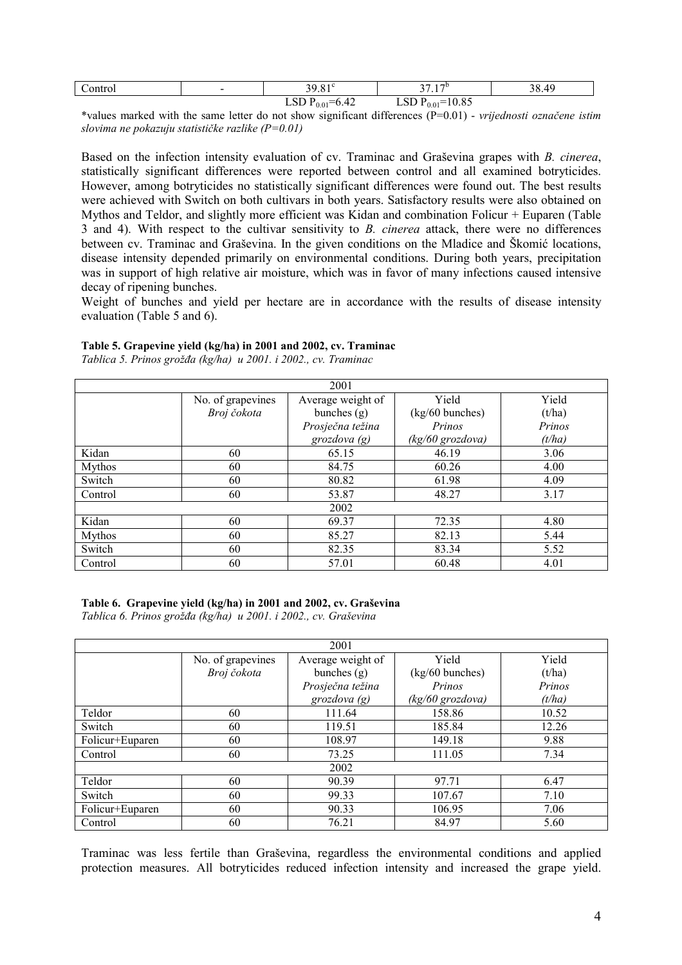| `ontrol<br>. | $\overline{\phantom{a}}$ | $\overline{\phantom{a}}$                                     | 17D<br>$\sim$<br>$\cdot$ .       | $\epsilon$<br>າ ເ<br>Z |
|--------------|--------------------------|--------------------------------------------------------------|----------------------------------|------------------------|
|              |                          | $\sim$<br>$-l$<br>.<br>$0.01$ <sup>-</sup><br>$v.\tau$<br>~~ | $0.01 -$<br>10.01<br>້⊔ບບ<br>. . |                        |

\*values marked with the same letter do not show significant differences (P=0.01) - vrijednosti označene istim slovima ne pokazuju statističke razlike  $(P=0.01)$ 

Based on the infection intensity evaluation of cv. Traminac and Graševina grapes with B. cinerea, statistically significant differences were reported between control and all examined botryticides. However, among botryticides no statistically significant differences were found out. The best results were achieved with Switch on both cultivars in both years. Satisfactory results were also obtained on Mythos and Teldor, and slightly more efficient was Kidan and combination Folicur + Euparen (Table 3 and 4). With respect to the cultivar sensitivity to B. cinerea attack, there were no differences between cv. Traminac and Graševina. In the given conditions on the Mladice and Škomić locations, disease intensity depended primarily on environmental conditions. During both years, precipitation was in support of high relative air moisture, which was in favor of many infections caused intensive decay of ripening bunches.

Weight of bunches and yield per hectare are in accordance with the results of disease intensity evaluation (Table 5 and 6).

### Table 5. Grapevine yield (kg/ha) in 2001 and 2002, cv. Traminac

Tablica 5. Prinos grožđa (kg/ha) u 2001. i 2002., cv. Traminac

| 2001          |                   |                   |                  |        |  |
|---------------|-------------------|-------------------|------------------|--------|--|
|               | No. of grapevines | Average weight of | Yield            | Yield  |  |
|               | Broj čokota       | bunches $(g)$     | (kg/60 bunches)  | (t/ha) |  |
|               |                   | Prosječna težina  | Prinos           | Prinos |  |
|               |                   | grozdova $(g)$    | (kg/60 grozdova) | (t/ha) |  |
| Kidan         | 60                | 65.15             | 46.19            | 3.06   |  |
| Mythos        | 60                | 84.75             | 60.26            | 4.00   |  |
| Switch        | 60                | 80.82             | 61.98            | 4.09   |  |
| Control       | 60                | 53.87             | 48.27            | 3.17   |  |
| 2002          |                   |                   |                  |        |  |
| Kidan         | 60                | 69.37             | 72.35            | 4.80   |  |
| <b>Mythos</b> | 60                | 85.27             | 82.13            | 5.44   |  |
| Switch        | 60                | 82.35             | 83.34            | 5.52   |  |
| Control       | 60                | 57.01             | 60.48            | 4.01   |  |

Table 6. Grapevine yield (kg/ha) in 2001 and 2002, cv. Graševina Tablica 6. Prinos grožña (kg/ha) u 2001. i 2002., cv. Graševina

| 2001            |                   |                   |                  |        |  |
|-----------------|-------------------|-------------------|------------------|--------|--|
|                 | No. of grapevines | Average weight of | Yield            | Yield  |  |
|                 | Broj čokota       | bunches $(g)$     | (kg/60 bunches)  | (t/ha) |  |
|                 |                   | Prosječna težina  | Prinos           | Prinos |  |
|                 |                   | grozdova $(g)$    | (kg/60 grozdova) | (t/ha) |  |
| Teldor          | 60                | 111.64            | 158.86           | 10.52  |  |
| Switch          | 60                | 119.51            | 185.84           | 12.26  |  |
| Folicur+Euparen | 60                | 108.97            | 149.18           | 9.88   |  |
| Control         | 60                | 73.25             | 111.05           | 7.34   |  |
| 2002            |                   |                   |                  |        |  |
| Teldor          | 60                | 90.39             | 97.71            | 6.47   |  |
| Switch          | 60                | 99.33             | 107.67           | 7.10   |  |
| Folicur+Euparen | 60                | 90.33             | 106.95           | 7.06   |  |
| Control         | 60                | 76.21             | 84.97            | 5.60   |  |

Traminac was less fertile than Graševina, regardless the environmental conditions and applied protection measures. All botryticides reduced infection intensity and increased the grape yield.